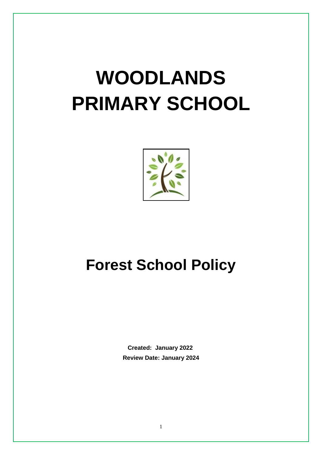# **WOODLANDS PRIMARY SCHOOL**



### **Forest School Policy**

 **Created: January 2022 Review Date: January 2024**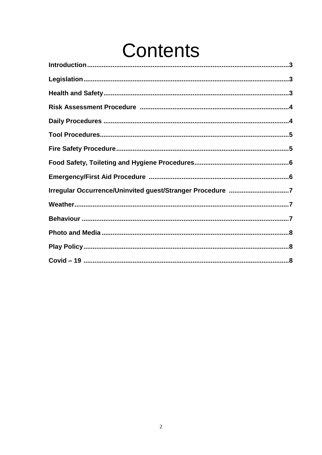## Contents

| Irregular Occurrence/Uninvited guest/Stranger Procedure 7 |
|-----------------------------------------------------------|
|                                                           |
|                                                           |
|                                                           |
|                                                           |
|                                                           |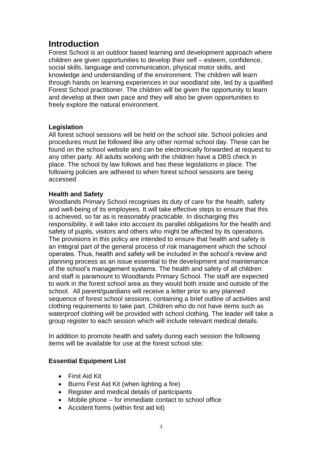#### **Introduction**

Forest School is an outdoor based learning and development approach where children are given opportunities to develop their self – esteem, confidence, social skills, language and communication, physical motor skills, and knowledge and understanding of the environment. The children will learn through hands on learning experiences in our woodland site, led by a qualified Forest School practitioner. The children will be given the opportunity to learn and develop at their own pace and they will also be given opportunities to freely explore the natural environment.

#### **Legislation**

All forest school sessions will be held on the school site. School policies and procedures must be followed like any other normal school day. These can be found on the school website and can be electronically forwarded at request to any other party. All adults working with the children have a DBS check in place. The school by law follows and has these legislations in place. The following policies are adhered to when forest school sessions are being accessed

#### **Health and Safety**

Woodlands Primary School recognises its duty of care for the health, safety and well-being of its employees. It will take effective steps to ensure that this is achieved, so far as is reasonably practicable. In discharging this responsibility, it will take into account its parallel obligations for the health and safety of pupils, visitors and others who might be affected by its operations. The provisions in this policy are intended to ensure that health and safety is an integral part of the general process of risk management which the school operates. Thus, health and safety will be included in the school's review and planning process as an issue essential to the development and maintenance of the school's management systems. The health and safety of all children and staff is paramount to Woodlands Primary School. The staff are expected to work in the forest school area as they would both inside and outside of the school. All parent/guardians will receive a letter prior to any planned sequence of forest school sessions, containing a brief outline of activities and clothing requirements to take part. Children who do not have items such as waterproof clothing will be provided with school clothing. The leader will take a group register to each session which will include relevant medical details.

In addition to promote health and safety during each session the following items will be available for use at the forest school site:

#### **Essential Equipment List**

- First Aid Kit
- Burns First Aid Kit (when lighting a fire)
- Register and medical details of participants
- Mobile phone for immediate contact to school office
- Accident forms (within first aid kit)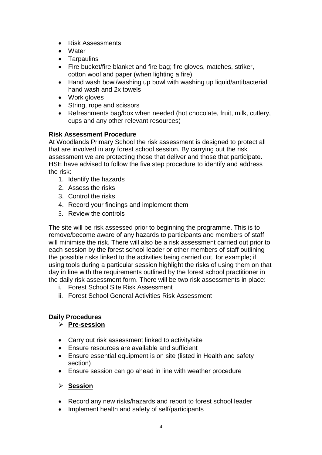- Risk Assessments
- Water
- Tarpaulins
- Fire bucket/fire blanket and fire bag; fire gloves, matches, striker, cotton wool and paper (when lighting a fire)
- Hand wash bowl/washing up bowl with washing up liquid/antibacterial hand wash and 2x towels
- Work gloves
- String, rope and scissors
- Refreshments bag/box when needed (hot chocolate, fruit, milk, cutlery, cups and any other relevant resources)

#### **Risk Assessment Procedure**

At Woodlands Primary School the risk assessment is designed to protect all that are involved in any forest school session. By carrying out the risk assessment we are protecting those that deliver and those that participate. HSE have advised to follow the five step procedure to identify and address the risk:

- 1. Identify the hazards
- 2. Assess the risks
- 3. Control the risks
- 4. Record your findings and implement them
- 5. Review the controls

The site will be risk assessed prior to beginning the programme. This is to remove/become aware of any hazards to participants and members of staff will minimise the risk. There will also be a risk assessment carried out prior to each session by the forest school leader or other members of staff outlining the possible risks linked to the activities being carried out, for example; if using tools during a particular session highlight the risks of using them on that day in line with the requirements outlined by the forest school practitioner in the daily risk assessment form. There will be two risk assessments in place:

- i. Forest School Site Risk Assessment
- ii. Forest School General Activities Risk Assessment

#### **Daily Procedures**

#### **Pre-session**

- Carry out risk assessment linked to activity/site
- Ensure resources are available and sufficient
- Ensure essential equipment is on site (listed in Health and safety section)
- Ensure session can go ahead in line with weather procedure

#### **Session**

- Record any new risks/hazards and report to forest school leader
- Implement health and safety of self/participants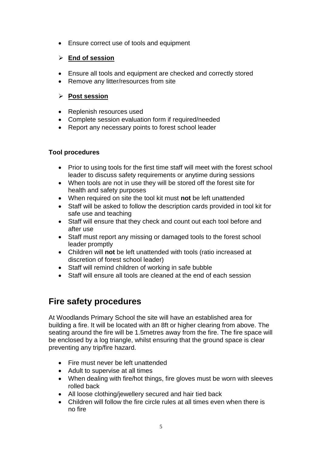Ensure correct use of tools and equipment

#### **End of session**

- Ensure all tools and equipment are checked and correctly stored
- Remove any litter/resources from site

#### **Post session**

- Replenish resources used
- Complete session evaluation form if required/needed
- Report any necessary points to forest school leader

#### **Tool procedures**

- Prior to using tools for the first time staff will meet with the forest school leader to discuss safety requirements or anytime during sessions
- When tools are not in use they will be stored off the forest site for health and safety purposes
- When required on site the tool kit must **not** be left unattended
- Staff will be asked to follow the description cards provided in tool kit for safe use and teaching
- Staff will ensure that they check and count out each tool before and after use
- Staff must report any missing or damaged tools to the forest school leader promptly
- Children will **not** be left unattended with tools (ratio increased at discretion of forest school leader)
- Staff will remind children of working in safe bubble
- Staff will ensure all tools are cleaned at the end of each session

#### **Fire safety procedures**

At Woodlands Primary School the site will have an established area for building a fire. It will be located with an 8ft or higher clearing from above. The seating around the fire will be 1.5metres away from the fire. The fire space will be enclosed by a log triangle, whilst ensuring that the ground space is clear preventing any trip/fire hazard.

- Fire must never be left unattended
- Adult to supervise at all times
- When dealing with fire/hot things, fire gloves must be worn with sleeves rolled back
- All loose clothing/jewellery secured and hair tied back
- Children will follow the fire circle rules at all times even when there is no fire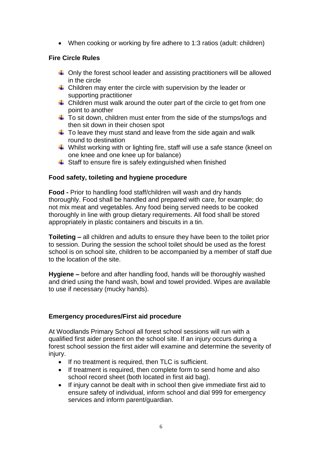• When cooking or working by fire adhere to 1:3 ratios (adult: children)

#### **Fire Circle Rules**

- $\downarrow$  Only the forest school leader and assisting practitioners will be allowed in the circle
- $\triangleq$  Children may enter the circle with supervision by the leader or supporting practitioner
- $\ddot$  Children must walk around the outer part of the circle to get from one point to another
- $\ddot{\phantom{1}}$  To sit down, children must enter from the side of the stumps/logs and then sit down in their chosen spot
- $\ddot$  To leave they must stand and leave from the side again and walk round to destination
- $\downarrow$  Whilst working with or lighting fire, staff will use a safe stance (kneel on one knee and one knee up for balance)
- $\frac{1}{\sqrt{2}}$  Staff to ensure fire is safely extinguished when finished

#### **Food safety, toileting and hygiene procedure**

**Food -** Prior to handling food staff/children will wash and dry hands thoroughly. Food shall be handled and prepared with care, for example; do not mix meat and vegetables. Any food being served needs to be cooked thoroughly in line with group dietary requirements. All food shall be stored appropriately in plastic containers and biscuits in a tin.

**Toileting –** all children and adults to ensure they have been to the toilet prior to session. During the session the school toilet should be used as the forest school is on school site, children to be accompanied by a member of staff due to the location of the site.

**Hygiene –** before and after handling food, hands will be thoroughly washed and dried using the hand wash, bowl and towel provided. Wipes are available to use if necessary (mucky hands).

#### **Emergency procedures/First aid procedure**

At Woodlands Primary School all forest school sessions will run with a qualified first aider present on the school site. If an injury occurs during a forest school session the first aider will examine and determine the severity of injury.

- If no treatment is required, then TLC is sufficient.
- If treatment is required, then complete form to send home and also school record sheet (both located in first aid bag).
- If injury cannot be dealt with in school then give immediate first aid to ensure safety of individual, inform school and dial 999 for emergency services and inform parent/guardian.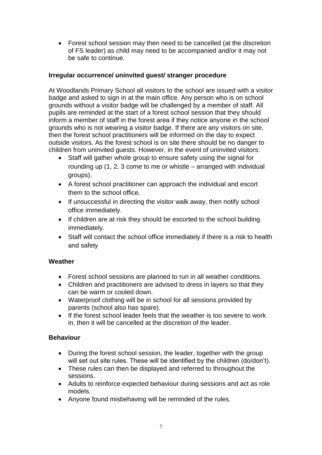Forest school session may then need to be cancelled (at the discretion of FS leader) as child may need to be accompanied and/or it may not be safe to continue.

#### **Irregular occurrence/ uninvited guest/ stranger procedure**

At Woodlands Primary School all visitors to the school are issued with a visitor badge and asked to sign in at the main office. Any person who is on school grounds without a visitor badge will be challenged by a member of staff. All pupils are reminded at the start of a forest school session that they should inform a member of staff in the forest area if they notice anyone in the school grounds who is not wearing a visitor badge. If there are any visitors on site, then the forest school practitioners will be informed on the day to expect outside visitors. As the forest school is on site there should be no danger to children from uninvited guests. However, in the event of uninvited visitors:

- Staff will gather whole group to ensure safety using the signal for rounding up (1, 2, 3 come to me or whistle – arranged with individual groups).
- A forest school practitioner can approach the individual and escort them to the school office.
- If unsuccessful in directing the visitor walk away, then notify school office immediately.
- If children are at risk they should be escorted to the school building immediately.
- Staff will contact the school office immediately if there is a risk to health and safety

#### **Weather**

- Forest school sessions are planned to run in all weather conditions.
- Children and practitioners are advised to dress in layers so that they can be warm or cooled down.
- Waterproof clothing will be in school for all sessions provided by parents (school also has spare).
- If the forest school leader feels that the weather is too severe to work in, then it will be cancelled at the discretion of the leader.

#### **Behaviour**

- During the forest school session, the leader, together with the group will set out site rules. These will be identified by the children (do/don't).
- These rules can then be displayed and referred to throughout the sessions.
- Adults to reinforce expected behaviour during sessions and act as role models.
- Anyone found misbehaving will be reminded of the rules.